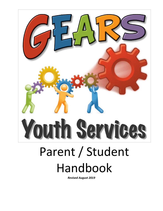

# Handbook

*Revised August 2019*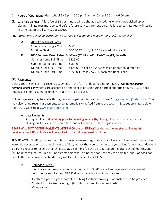- **I.** Hours of Operation: After-school 2:45 pm 6:30 pm Summer Camp 7:30 am 6:00 pm
- **II.** Late Pick-up Fees: A late fee of \$1 per minute will be charged to students who are not picked up by closing. All late fees must be paid before future services are rendered. Failure to pay late fees will result in termination of all services at GEARS.
- **III.** Rates: *After School Registration Fee \$50 per child; Summer Registration Fee \$100 per child*

| A. | 2019 After school Rates:                                                  |                                                             |
|----|---------------------------------------------------------------------------|-------------------------------------------------------------|
|    | After School Single Child                                                 | \$50                                                        |
|    | Multiple Child                                                            | \$50.00 1st child / \$40.00 each additional child           |
| В. | 2020 Summer Camp Rates: Full-Time (FT; Mon - Fri) Part-Time (PT; Mon-Thu) |                                                             |
|    | Summer Camp Full-Time                                                     | \$125.00                                                    |
|    | Summer Camp Part-Time                                                     | \$95.00                                                     |
|    | Multiple Child Full-Time                                                  | \$125.00 1st child / \$95.00 each additional child Multiple |
|    | Multiple Child Part-Time                                                  | \$95.00 1st child / \$75.00 each additional child           |

#### **IV.** Payments:

GEARS Youth Services, Inc. receives payments in the form of debit, credit, or PayPal. We do not accept personal checks. Payments are accepted by phone or in person during normal operating hours. GEARS does not accept phone payments on days that the office is closed.

Online payments may be made through [www.paypal.com](http://www.paypal.com/) [b](http://www.paypal.com/)y "sending money" to [gearsyouth@yahoo.com.](mailto:gearsyouth@yahoo.com) You may also set up recurring payments to be automatically drafted from your account. Easy set up is available on the GEARS website at [www.gearsyouth.com.](http://www.gearsyouth.com/)

## A. Late Payments:

All payments are due Friday prior to receiving service (by closing). Payments received after closing on Friday is considered late, and will incur a \$10 late registration fee.

## GEARS WILL NOT ACCEPT PAYMENTS AFTER 9:00 pm on FRIDAYS or during the weekend. Payments received after 9:00pm Friday will be applied to the following week's tuition.

PLEASE NOTE: GEARS provides the option of week-by-week registration. Families are not required to attend each week. However, to ensure that all slots are filled, we ask that you communicate your plans for non-attendance. If a parent chooses to reserve their child's spot, a \$25 hold fee will be required during after school months, and \$50 hold fee will be required during summer months. If a parent does not pay the hold fee, and / or does not enroll after two consecutive holds, they will forfeit their spot at GEARS.

## B. Refunds / Credits:

GEARS does not provide refunds for payments. GEARS will allow payments to be credited if the student cannot attend GEARS due to the following circumstances:

- Death of a parent, grandparent, or sibling (obituary proving relationship must be provided)
- Student hospitalized overnight (hospital documentation provided)
- Overpayment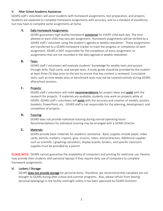# V. After School Academic Assistance:

GEARS staff / volunteers will assist students with homework assignments, test preparation, and projects. Students are expected to complete homework assignments with accuracy, and to a standard of excellence, but may have to complete some assignments at home.

## **A.** Daily Homework Assignments:

GEARS guarantees high quality homework assistance for EVERY child each day. The time allotted or each child may vary per assignment. Homework assignments will be verified by a GEARS staff / volunteer using the student's agenda or weekly newsletter. These assignments are transferred to a GEARS homework tracker to track the progress or completion of each assignment. GEARS is NOT responsible for the completion of every assignment, or assignments that are not recorded in the daily agenda or weekly newsletter.

## **B.** Tests:

GEARS staff / volunteers will evaluate students' knowledge for weekly tests and quizzes through drills, flash cards, and sample tests. A study-guide should be provided by the student at least three (3) days prior to the test to ensure that key content is reviewed. Cumulative tests, such as nine-weeks tests or benchmark tests may not be covered entirely during GEARS afterschool sessions.

## **C.** Projects:

GEARS staff / volunteers will make recommendations for project ideas and assist with the research for projects. If materials are available, students may work on projects while at GEARS. GEARS staff / volunteers will assist with the accuracy and creation of models, posters, booklets, PowerPoint, etc. GEARS staff is not responsible for the planning, development, and completion of projects.

## **D.** Tutoring:

GEARS does not provide individual tutoring during normal operating hours. Recommendations for individual tutoring may be arranged with a GEARS Director.

## **E.** Materials:

GEARS provide basic materials for academic assistance. Basic supplies include paper, index cards, pencils, markers, crayons, glue, scissors, rulers, and protractors. Additional supplies such as scientific / graphing calculators, display boards, binders, and specific classroom supplies must be provided by a parent.

PLEASE NOTE: GEARS cannot guarantee the availability of computers and printing for extensive use. Parents may provide their students with personal laptops if they require daily use of computers to complete homework assignments.

# VI. Lockers / Storage:

GEARS does not provide storage for personal items. Therefore, we recommend that valuables are not brought to GEARS during after school and summer programs. Also, please refrain from leaving personal belongings in the facility overnight unless it has been approved by GEARS Directors.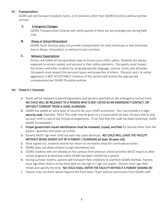# VII. Transportation:

GEARS will not transport students home, or to locations other than GEARS functions without written consent.

## A. Emergency Changes:

GEARS Transportation Director will notify parents if there are any emergencies during field trips.

## **B.** Illness or School Misconduct:

GEARS Youth Services does not provide transportation for early dismissals or late dismissals due to illness, misconduct, or extracurricular activities.

# **C.** Behavior Expectations:

Drivers will follow all transportation laws to ensure your child's safety. Students are always expected to remain seated, and secured in their safety restraints. Occupants must respect the drivers and other students by using appropriate language, volume, tones, and attitudes. Occupants must respect the personal space and properties of others. Physical, and / or verbal aggression is NOT ACCEPTABLE! Violators of this section will receive the appropriate consequences per GEARS Discipline policies.

# VIII. Check-In / Dismissal:

- A. Youth will be released to parents/guardians and persons specified on the emergency contact form. NO CHILD WILL BE RELEASED TO A PERSON WHO IS NOT LISTED AS AN EMERGENCY CONTACT, OR WITHOUT CONSENT FROM A LEGAL GUARDIAN.
- B. GEARS has added an extra layer of security for your child's protection. You may provide a 4-digit security code. Example: RN12 This code may be given to a trusted adult (at least 18 years old) to pick up your child in case of last minute arrangements. If you feel that this code has been breached, notify GEARS immediately!
- C. Proper government issued identification must be reviewed, copied, and filed for anyone other than the parent / guardian who picks up a child.
- D. Parents MUST sign their child out each day upon dismissal. NO CHILD WILL LEAVE THE FACILITY WITHOUT BEING SIGNED OUT BY A PARENT / GUARDIAN (at least 18 years old).
- E. Once signed out, students should not return to recreation areas for continued activities.
- F. GEARS does not allow children to sign themselves out.
- G. GEARS students who are already on the campus from previous school activities MUST report to after school programs at dismissal unless GEARS has been notified by a parent.
- H. During summer months, parents will transport their child(ren) to and from GEARS facilities. Parents must sign their child in at the front desk on the sign in / sign out sheets. Parents must sign their initials and specify the time. NO CHILD SHALL ENTER THE FACILITY WITHOUT A PARENT SIGNING IN!
- I. Parents may not enter spaces beyond the front desk / foyer without permission from GEARS staff.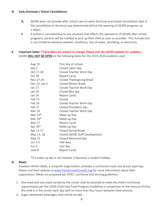## IX. Early Dismissals / School Cancellations:

- **A.** GEARS does not provide after school care on early dismissal and school cancellation days if the cancellation or dismissal was determined before the opening of GEARS programs at 2:30pm.
- B. If school is cancelled due to any situation that affects the operations of GEARS after school programs, parents will be notified to pick up their child as soon as possible. This includes but is not limited to extreme weather conditions, loss of water, plumbing, or electricity.

# X. Important Dates: (These dates are subject to change. Please visit the GEARS website for updates.) GEARS WILL NOT BE OPEN on the following dates for the 2019-2020 academic year:

| First day of school            |
|--------------------------------|
| Closed Labor Day               |
| Closed Teacher Work Day        |
| Report Cards                   |
| Closed Thanksgiving Break      |
| Closed Winter Break            |
| Closed Teacher Work Day        |
| Closed MLk day                 |
| Report Cards                   |
| Closed                         |
| Closed Teacher Work Day        |
| Closed Presidents day          |
| Closed Teacher Work Day        |
| Make-up Day                    |
| Make-up Day                    |
| Report Cards                   |
| Make-up Day                    |
| Closed Spring Break            |
| Closed GEARS Staff Development |
| Closed Memorial Day            |
| Half days                      |
| Last day                       |
| Report Cards                   |
|                                |

\*If a make-up day is not needed, it becomes a student holiday.

## XI. Meals:

Freedom Within Walls, a nonprofit organization, provides a nutritional snack and dinner each day. Please visit their website at [www.freedomwithinwalls.org](http://www.freedomwithinwalls.org/) for more information about their organization. Meals are prepared per DHEC nutritional and serving guidelines.

- 1. One meal and one snack served by the center shall be planned to meet the child's nutritional requirements per the USDA Child Care Food Program Guidelines in proportion to the amount of time the child is in the center each day with no more than four hours between food services.
- 2. Sugar sweetened beverages shall not be served.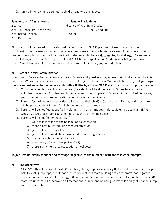3. Only skim or 1% milk is served to children age two and above.

| Sample Lunch / Dinner Menu:     | Sample Snack Menu:           |
|---------------------------------|------------------------------|
| $2$ oz. Corn                    | 6 Lance Whole Grain Crackers |
| 8 oz. 1% Chocolate / White Milk | 4 oz. Mixed Fruit            |
| 2 oz. Baked Chicken             | Water                        |
| 2 oz. Dinner Roll               |                              |

All students will be served, but meals must be consumed on GEARS premises. Parents who pick their child(ren) up before snack / dinner is not guaranteed a meal. Food allergies are carefully considered during preparation. Optional meals will be provided to students who have a **documented** food allergy. Please make sure all allergies are specified on your child's GEARS Student Application. Students may bring their own snack / meal. However, it is recommended that parents limit sugary snacks and drinks.

## XII. Parent / Family Communication:

GEARS Youth Services has an open-door policy. Parents and guardians may access their children at our facilities any time. We welcome your communication and value your relationships. We do ask, however, that you respect the spaces designated for homework and youth activities by allowing GEARS staff to escort you to proper locations.

- 1. Communication to parents about injuries / accidents will be done by GEARS Directors or staff / volunteers. A written Accident and Injury form must be completed. Parents will be notified via phone, in person, email, or written notification about injuries and accidents.
- 2. Parents / guardians will be provided full access to their child(ren) at all times. During field trips, parents will be provided the Directors' cell phone numbers upon request.
- 3. Parents will be notified about facility closings, and other important dates via email, postings, GEARS website, GEARS Facebook page, Remind app, and / or text messages.
- 4. Parents will be notified immediately if:
	- 1. your child is taken to the hospital or police station
	- 2. there is any injury requiring medical attention
	- 3. your child is missing / lost
	- 4. your child is immediately terminated from a program or event
	- 5. uncontrollable, or defiant behavior
	- 6. emergency officials (fire, police, EMS)
	- 7. there is an emergency evacuation or lockdown

## To join Remind, simply send the text message "@gearsy" to the number 81010 and follow the prompts.

## XIII. Physical Activity:

1. GEARS Youth will receive at least 60 minutes (1 hour) of physical activity that includes basketball, dodge ball, kickball, jump rope, etc. Indoor recreation includes team building activities, crafts, board games, enrichment activities, and technology. All indoor and outdoor recreation is carefully monitored by GEARS staff / volunteers. GEARS provide all recreational equipment including basketballs and goal, Frisbee, jump rope, kickball, etc.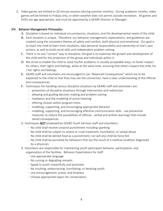2. Video games are limited to 20 minute sessions (during summer months). During academic months, video games will be limited to Fridays only, or when weather does not permit outside recreation. All games and DVDs are age appropriate, and must be approved by a GEARS Director or Manager.

## XIV. Behavior Management Philosophy:

A. Discipline is based on individual circumstances, situations, and the developmental needs of the child.

- B. Each situation is unique. Therefore, our behavior management, expectations, and guidelines are created using the consistent themes of safety and comfort, both physical and emotional. Our goal is to teach the child to learn from situations, take personal responsibility and ownership of one's own actions, as well as build social skills and independent problem solving.
- C. There is no one "correct" way to discipline; the goal is to maximize the growth and development of the child and for the protection of the group and individuals within it.
- D. We strive to enable the child to solve his/her problems in socially acceptable ways, to foster respect for others, their rights and feelings, while at the same time, ensuring that others respect the child, his / her rights and feelings.
- E. GEARS staff and volunteers are encouraged to use "Balanced Consequences" which are to be explained to the child so that they may see the connection, have a clear understanding of the offense and consequences.
- F. Techniques for handling various discipline situations by GEARS staff and volunteers are:
	- prevention of discipline situations through intervention and redirection
	- allowing and guiding decision-making and problem solving
	- mediation and the modeling of active listening
	- offering choices within program limits
	- modeling, supporting, and encouraging appropriate behavior
	- modeling, supporting, and encouraging effective communication skills use preventive measures to reduce the possibilities of offense - verbal and written warnings that include tiered consequences.
- G. Techniques **NOT** employed by GEARS Youth Services staff and volunteers:
	- No child shall receive corporal punishment including spanking
	- No child shall be subject to severe or cruel treatment, humiliation, or verbal abuse
	- No child shall be denied food as a punishment, nor will any child be force fed
	- No child shall be punished for behaviors that are the result of a medical condition diagnosed by a physician.

# H. Volunteers are responsible for maintaining youth participant behavior, participation, and organization of the facilities. Behavior Expectations for staff:

- Use appropriate language
- No cursing or degrading remarks
- Speak to youth respectfully and positively
- No insulting, embarrassing, humiliating, or berating youth
- Use encouragement, praise, and kindness
- Choose appropriate topics for conversation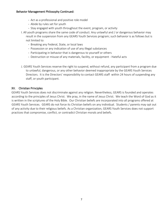## Behavior Management Philosophy Continued:

- Act as a professional and positive role model
- Abide by rules set for youth
- Stay engaged with youth throughout the event, program, or activity
- I. All youth programs share the same code of conduct. Any unlawful and / or dangerous behavior may result in the suspension from any GEARS Youth Services program; such behavior is as follows but is not limited to:
	- Breaking any Federal, State, or local laws
	- Possession or any indication of use of any illegal substances
	- Participating in behavior that is dangerous to yourself or others
	- Destruction or misuse of any materials, facility, or equipment Hateful acts
- J. GEARS Youth Services reserve the right to suspend, without refund, any participant from a program due to unlawful, dangerous, or any other behavior deemed inappropriate by the GEARS Youth Services Directors. It is the Directors' responsibility to contact GEARS staff within 24 hours of suspending any staff, or youth participant.

# XV. Christian Principles

GEARS Youth Services does not discriminate against any religion. Nevertheless, GEARS is founded and operates according to the principles of Jesus Christ. We pray, in the name of Jesus Christ. We teach the Word of God as it is written in the scriptures of the Holy Bible. Our Christian beliefs are incorporated into all programs offered at GEARS Youth Services. GEARS do not force its Christian beliefs on any individual. Students / parents may opt out of any activity due to their religious beliefs. As a Christian organization, GEARS Youth Services does not support practices that compromise, conflict, or contradict Christian morals and beliefs.